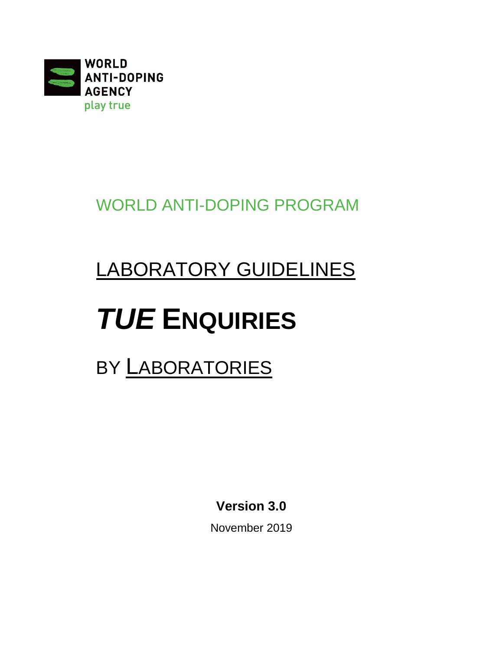

WORLD ANTI-DOPING PROGRAM

# LABORATORY GUIDELINES

# *TUE* **ENQUIRIES**

## BY LABORATORIES

**Version 3.0**

November 2019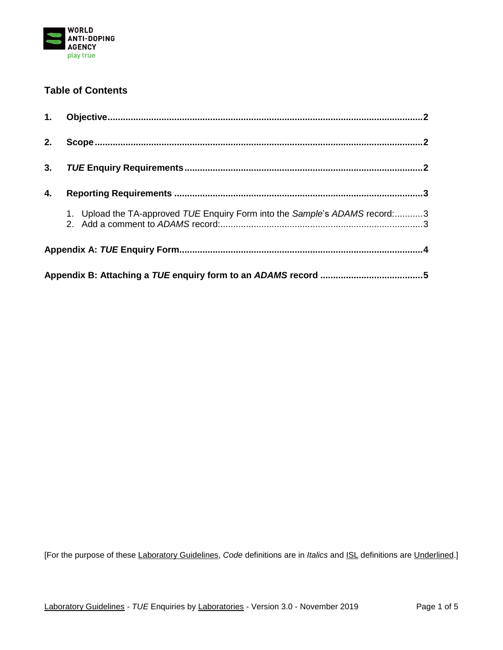

#### **Table of Contents**

| 2. |                                                                             |  |
|----|-----------------------------------------------------------------------------|--|
| 3. |                                                                             |  |
| 4. |                                                                             |  |
|    | 1. Upload the TA-approved TUE Enquiry Form into the Sample's ADAMS record:3 |  |
|    |                                                                             |  |
|    |                                                                             |  |

[For the purpose of these Laboratory Guidelines, *Code* definitions are in *Italics* and ISL definitions are Underlined.]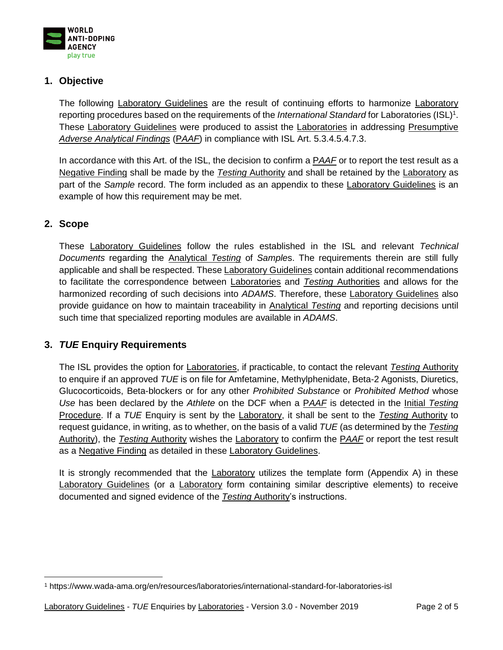

#### <span id="page-2-0"></span>**1. Objective**

The following Laboratory Guidelines are the result of continuing efforts to harmonize Laboratory reporting procedures based on the requirements of the *International Standard* for Laboratories (ISL) 1 . These Laboratory Guidelines were produced to assist the Laboratories in addressing Presumptive *Adverse Analytical Findings* (P*AAF*) in compliance with ISL Art. 5.3.4.5.4.7.3.

In accordance with this Art. of the ISL, the decision to confirm a P*AAF* or to report the test result as a Negative Finding shall be made by the *Testing* Authority and shall be retained by the Laboratory as part of the *Sample* record. The form included as an appendix to these Laboratory Guidelines is an example of how this requirement may be met.

#### <span id="page-2-1"></span>**2. Scope**

These Laboratory Guidelines follow the rules established in the ISL and relevant *Technical Documents* regarding the Analytical *Testing* of *Sample*s. The requirements therein are still fully applicable and shall be respected. These Laboratory Guidelines contain additional recommendations to facilitate the correspondence between Laboratories and *Testing* Authorities and allows for the harmonized recording of such decisions into *ADAMS*. Therefore, these Laboratory Guidelines also provide guidance on how to maintain traceability in Analytical *Testing* and reporting decisions until such time that specialized reporting modules are available in *ADAMS*.

#### <span id="page-2-2"></span>**3.** *TUE* **Enquiry Requirements**

The ISL provides the option for Laboratories, if practicable, to contact the relevant *Testing* Authority to enquire if an approved *TUE* is on file for Amfetamine, Methylphenidate, Beta-2 Agonists, Diuretics, Glucocorticoids, Beta-blockers or for any other *Prohibited Substance* or *Prohibited Method* whose *Use* has been declared by the *Athlete* on the DCF when a P*AAF* is detected in the Initial *Testing*  Procedure. If a *TUE* Enquiry is sent by the Laboratory, it shall be sent to the *Testing* Authority to request guidance, in writing, as to whether, on the basis of a valid *TUE* (as determined by the *Testing* Authority), the *Testing* Authority wishes the Laboratory to confirm the P*AAF* or report the test result as a Negative Finding as detailed in these Laboratory Guidelines.

It is strongly recommended that the **Laboratory** utilizes the template form (Appendix A) in these Laboratory Guidelines (or a Laboratory form containing similar descriptive elements) to receive documented and signed evidence of the *Testing* Authority's instructions.

 $\overline{a}$ <sup>1</sup> <https://www.wada-ama.org/en/resources/laboratories/international-standard-for-laboratories-isl>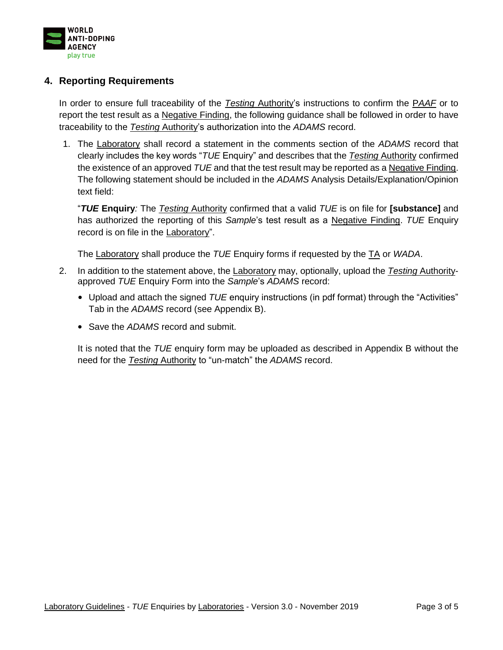

#### <span id="page-3-0"></span>**4. Reporting Requirements**

In order to ensure full traceability of the *Testing* Authority's instructions to confirm the P*AAF* or to report the test result as a Negative Finding, the following guidance shall be followed in order to have traceability to the *Testing* Authority's authorization into the *ADAMS* record.

1. The Laboratory shall record a statement in the comments section of the *ADAMS* record that clearly includes the key words "*TUE* Enquiry" and describes that the *Testing* Authority confirmed the existence of an approved *TUE* and that the test result may be reported as a Negative Finding. The following statement should be included in the *ADAMS* Analysis Details/Explanation/Opinion text field:

<span id="page-3-1"></span>"*TUE* **Enquiry***:* The *Testing* Authority confirmed that a valid *TUE* is on file for **[substance]** and has authorized the reporting of this *Sample*'s test result as a Negative Finding. *TUE* Enquiry record is on file in the Laboratory".

The Laboratory shall produce the *TUE* Enquiry forms if requested by the TA or *WADA*.

- 2. In addition to the statement above, the Laboratory may, optionally, upload the *Testing* Authorityapproved *TUE* Enquiry Form into the *Sample*'s *ADAMS* record:
	- Upload and attach the signed *TUE* enquiry instructions (in pdf format) through the "Activities" Tab in the *ADAMS* record (see Appendix B).
	- Save the *ADAMS* record and submit.

<span id="page-3-2"></span>It is noted that the *TUE* enquiry form may be uploaded as described in Appendix B without the need for the *Testing* Authority to "un-match" the *ADAMS* record.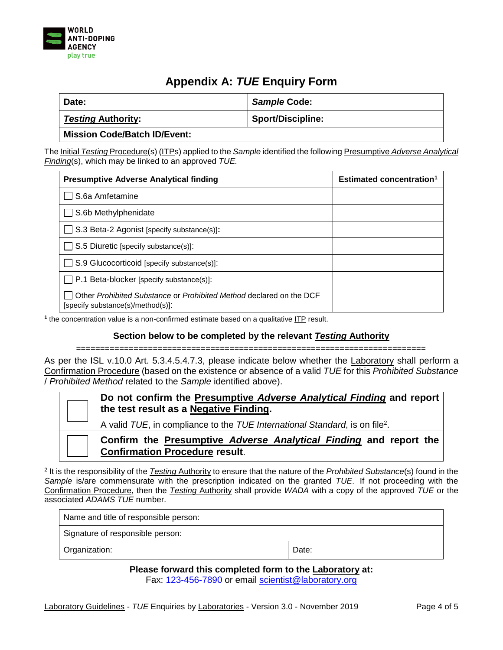

### **Appendix A:** *TUE* **Enquiry Form**

<span id="page-4-0"></span>

| Date:                               | <b>Sample Code:</b>      |
|-------------------------------------|--------------------------|
|                                     |                          |
| <b>Testing Authority:</b>           | <b>Sport/Discipline:</b> |
| <b>Mission Code/Batch ID/Event:</b> |                          |

The Initial *Testing* Procedure(s) (ITPs) applied to the *Sample* identified the following Presumptive *Adverse Analytical Finding*(s), which may be linked to an approved *TUE.*

| <b>Presumptive Adverse Analytical finding</b>                                                            | <b>Estimated concentration</b> <sup>1</sup> |
|----------------------------------------------------------------------------------------------------------|---------------------------------------------|
| S.6a Amfetamine                                                                                          |                                             |
| S.6b Methylphenidate                                                                                     |                                             |
| S.3 Beta-2 Agonist [specify substance(s)]:                                                               |                                             |
| S.5 Diuretic [specify substance(s)]:                                                                     |                                             |
| S.9 Glucocorticoid [specify substance(s)]:                                                               |                                             |
| $\Box$ P.1 Beta-blocker [specify substance(s)]:                                                          |                                             |
| Other Prohibited Substance or Prohibited Method declared on the DCF<br>[specify substance(s)/method(s)]: |                                             |

**1** the concentration value is a non-confirmed estimate based on a qualitative ITP result.

#### **Section below to be completed by the relevant** *Testing* **Authority**

=========================================================================

As per the ISL v.10.0 Art. 5.3.4.5.4.7.3, please indicate below whether the Laboratory shall perform a Confirmation Procedure (based on the existence or absence of a valid *TUE* for this *Prohibited Substance* / *Prohibited Method* related to the *Sample* identified above).

| Do not confirm the Presumptive Adverse Analytical Finding and report<br>the test result as a <b>Negative Finding.</b> |
|-----------------------------------------------------------------------------------------------------------------------|
| A valid TUE, in compliance to the TUE International Standard, is on file <sup>2</sup> .                               |
| Confirm the Presumptive Adverse Analytical Finding and report the<br><b>Confirmation Procedure result.</b>            |

2 It is the responsibility of the *Testing* Authority to ensure that the nature of the *Prohibited Substance*(s) found in the *Sample* is/are commensurate with the prescription indicated on the granted *TUE*. If not proceeding with the Confirmation Procedure, then the *Testing* Authority shall provide *WADA* with a copy of the approved *TUE* or the associated *ADAMS TUE* number.

| Name and title of responsible person: |       |
|---------------------------------------|-------|
| Signature of responsible person:      |       |
| Organization:                         | Date: |

**Please forward this completed form to the Laboratory at:** Fax: 123-456-7890 or email [scientist@laboratory.org](mailto:scientist@laboratory.org)